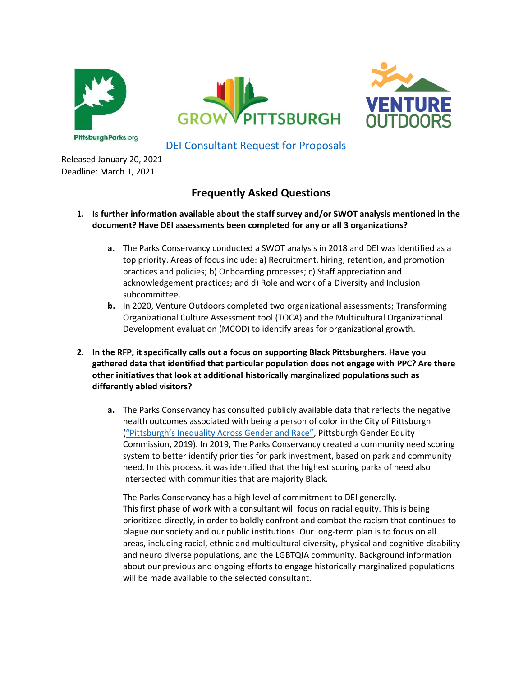





DEI Consultant Request for Proposals

Released January 20, 2021 Deadline: March 1, 2021

# **Frequently Asked Questions**

- **1. Is further information available about the staff survey and/or SWOT analysis mentioned in the document? Have DEI assessments been completed for any or all 3 organizations?**
	- **a.** The Parks Conservancy conducted a SWOT analysis in 2018 and DEI was identified as a top priority. Areas of focus include: a) Recruitment, hiring, retention, and promotion practices and policies; b) Onboarding processes; c) Staff appreciation and acknowledgement practices; and d) Role and work of a Diversity and Inclusion subcommittee.
	- **b.** In 2020, Venture Outdoors completed two organizational assessments; Transforming Organizational Culture Assessment tool (TOCA) and the Multicultural Organizational Development evaluation (MCOD) to identify areas for organizational growth.
- **2. In the RFP, it specifically calls out a focus on supporting Black Pittsburghers. Have you gathered data that identified that particular population does not engage with PPC? Are there other initiatives that look at additional historically marginalized populations such as differently abled visitors?**
	- **a.** The Parks Conservancy has consulted publicly available data that reflects the negative health outcomes associated with being a person of color in the City of Pittsburgh ("Pittsburgh's Inequality Across Gender and Race", Pittsburgh Gender Equity Commission, 2019). In 2019, The Parks Conservancy created a community need scoring system to better identify priorities for park investment, based on park and community need. In this process, it was identified that the highest scoring parks of need also intersected with communities that are majority Black.

The Parks Conservancy has a high level of commitment to DEI generally. This first phase of work with a consultant will focus on racial equity. This is being prioritized directly, in order to boldly confront and combat the racism that continues to plague our society and our public institutions. Our long-term plan is to focus on all areas, including racial, ethnic and multicultural diversity, physical and cognitive disability and neuro diverse populations, and the LGBTQIA community. Background information about our previous and ongoing efforts to engage historically marginalized populations will be made available to the selected consultant.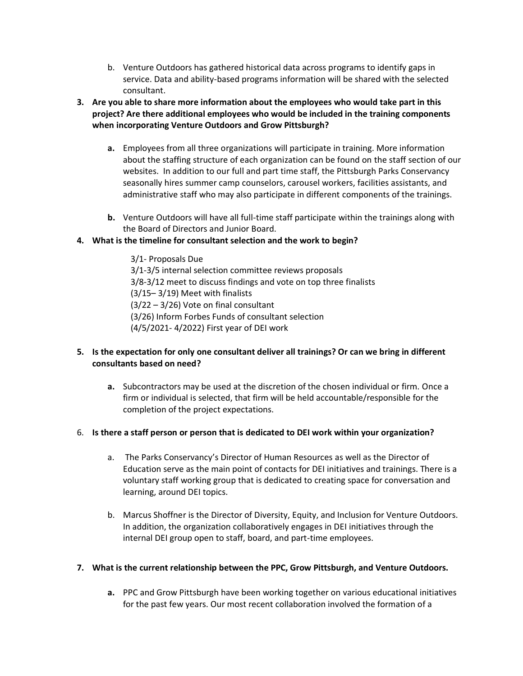- b. Venture Outdoors has gathered historical data across programs to identify gaps in service. Data and ability-based programs information will be shared with the selected consultant.
- **3. Are you able to share more information about the employees who would take part in this project? Are there additional employees who would be included in the training components when incorporating Venture Outdoors and Grow Pittsburgh?**
	- **a.** Employees from all three organizations will participate in training. More information about the staffing structure of each organization can be found on the staff section of our websites. In addition to our full and part time staff, the Pittsburgh Parks Conservancy seasonally hires summer camp counselors, carousel workers, facilities assistants, and administrative staff who may also participate in different components of the trainings.
	- **b.** Venture Outdoors will have all full-time staff participate within the trainings along with the Board of Directors and Junior Board.

# **4. What is the timeline for consultant selection and the work to begin?**

3/1- Proposals Due 3/1-3/5 internal selection committee reviews proposals 3/8-3/12 meet to discuss findings and vote on top three finalists (3/15– 3/19) Meet with finalists (3/22 – 3/26) Vote on final consultant (3/26) Inform Forbes Funds of consultant selection (4/5/2021- 4/2022) First year of DEI work

### **5. Is the expectation for only one consultant deliver all trainings? Or can we bring in different consultants based on need?**

**a.** Subcontractors may be used at the discretion of the chosen individual or firm. Once a firm or individual is selected, that firm will be held accountable/responsible for the completion of the project expectations.

#### 6. **Is there a staff person or person that is dedicated to DEI work within your organization?**

- a. The Parks Conservancy's Director of Human Resources as well as the Director of Education serve as the main point of contacts for DEI initiatives and trainings. There is a voluntary staff working group that is dedicated to creating space for conversation and learning, around DEI topics.
- b. Marcus Shoffner is the Director of Diversity, Equity, and Inclusion for Venture Outdoors. In addition, the organization collaboratively engages in DEI initiatives through the internal DEI group open to staff, board, and part-time employees.

#### **7. What is the current relationship between the PPC, Grow Pittsburgh, and Venture Outdoors.**

**a.** PPC and Grow Pittsburgh have been working together on various educational initiatives for the past few years. Our most recent collaboration involved the formation of a